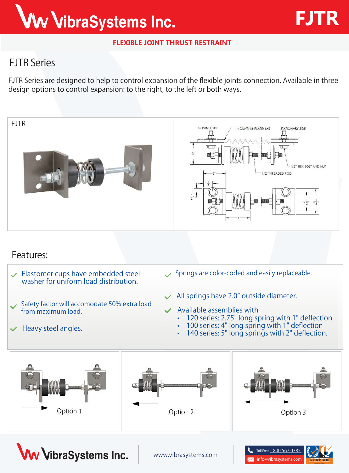# **Ww VibraSystems Inc.**

#### **FLEXIBLE JOINT THRUST RESTRAINT**

## **FJTR Series**

**FJTR Series** are designed to help to control expansion of the flexible joints connection. Available in three design options to control expansion: to the right, to the left or both ways.



### **Features:**

- **Elastomer cups have embedded steel washer for uniform load distribution.**
- **Safety factor will accomodate 50% extra load from maximum load.**

**Heavy steel angles.**

- **Springs are color-coded and easily replaceable.**
- **All springs have 2.0" outside diameter.**
	- **Available assemblies with**
		- **120 series: 2.75" long spring with 1" deflection.**
		- **100 series: 4" long spring with 1" deflection**
		- **140 series: 5" long springs with 2" deflection.**

![](_page_0_Picture_14.jpeg)

![](_page_0_Picture_15.jpeg)

![](_page_0_Picture_17.jpeg)

**FJTR**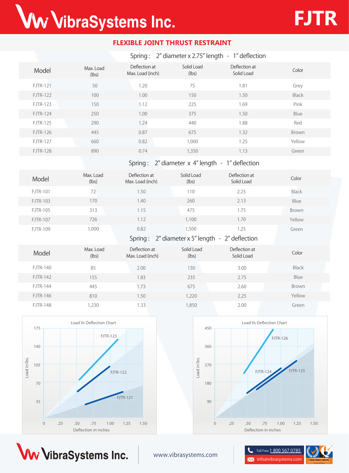#### **FLEXIBLE JOINT THRUST RESTRAINT**

|                 | Spring: 2" diameter x 2.75" length - 1" deflection |                                   |                     |                             |              |  |  |
|-----------------|----------------------------------------------------|-----------------------------------|---------------------|-----------------------------|--------------|--|--|
| Model           | Max. Load<br>(lbs)                                 | Deflection at<br>Max. Load (inch) | Solid Load<br>(lbs) | Deflection at<br>Solid Load | Color        |  |  |
| <b>FJTR-121</b> | 50                                                 | 1.20                              | 75                  | 1.81                        | Grey         |  |  |
| <b>FJTR-122</b> | 100                                                | 1.00                              | 150                 | 1.50                        | <b>Black</b> |  |  |
| <b>FJTR-123</b> | 150                                                | 1.12                              | 225                 | 1.69                        | Pink         |  |  |
| <b>FJTR-124</b> | 250                                                | 1.00                              | 375                 | 1.50                        | Blue         |  |  |
| <b>FJTR-125</b> | 290                                                | 1.24                              | 440                 | 1.88                        | Red          |  |  |
| <b>FJTR-126</b> | 445                                                | 0.87                              | 675                 | 1.32                        | <b>Brown</b> |  |  |
| <b>FJTR-127</b> | 660                                                | 0.82                              | 1,000               | 1.25                        | Yellow       |  |  |
| <b>FJTR-128</b> | 890                                                | 0.74                              | 1,350               | 1.13                        | Green        |  |  |

**Spring : 2" diameter x 4" length - 1" deflection**

| Model           | Max. Load<br>(lbs) | Deflection at<br>Max. Load (inch)                  | Solid Load<br>(lbs)   | Deflection at<br>Solid Load        | Color        |
|-----------------|--------------------|----------------------------------------------------|-----------------------|------------------------------------|--------------|
| <b>FJTR-101</b> | 72                 | 1.50                                               | 110                   | 2.25                               | <b>Black</b> |
| <b>FJTR-103</b> | 170                | 1.40                                               | 260                   | 2.13                               | Blue         |
| <b>FJTR-105</b> | 313                | 1.15                                               | 475                   | 1.75                               | Brown        |
| <b>FJTR-107</b> | 726                | 1.12                                               | 1,100                 | 1.70                               | Yellow       |
| <b>FJTR-109</b> | 1,000              | 0.82<br>$\sim$ $\mu$ $\sim$ $\mu$<br>$\sim$ $\sim$ | 1,500<br>$ \mu$ $\mu$ | 1.25<br>$\sim$ $\mu$ $\sim$ $\sim$ | Green        |

**Spring : 2" diameter x 5" length - 2" deflection**

| Model           | Max. Load<br>(lbs) | Deflection at<br>Max. Load (inch) | Solid Load<br>(lbs) | Deflection at<br>Solid Load | Color        |
|-----------------|--------------------|-----------------------------------|---------------------|-----------------------------|--------------|
| FJTR-140        | 85                 | 2.00                              | 130                 | 3.00                        | <b>Black</b> |
| <b>FJTR-142</b> | 155                | 1.83                              | 235                 | 2.75                        | Blue         |
| <b>FJTR-144</b> | 445                | 1.73                              | 675                 | 2.60                        | Brown        |
| <b>FJTR-146</b> | 810                | 1.50                              | 1,220               | 2.25                        | Yellow       |
| <b>FJTR-148</b> | 1,230              | 1.33                              | 1,850               | 2.00                        | Green        |

![](_page_1_Figure_8.jpeg)

Ww VibraSystems Inc.

![](_page_1_Figure_9.jpeg)

![](_page_1_Picture_10.jpeg)

![](_page_1_Picture_11.jpeg)